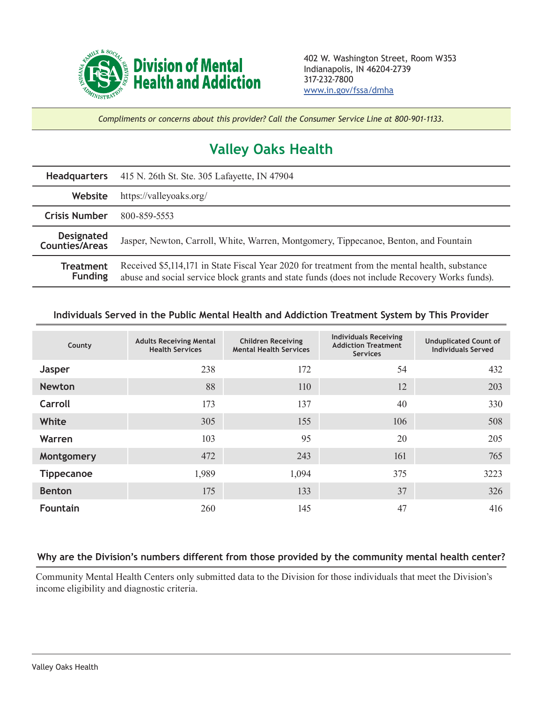

*Compliments or concerns about this provider? Call the Consumer Service Line at 800-901-1133.*

## **Valley Oaks Health**

| <b>Headquarters</b>                        | 415 N. 26th St. Ste. 305 Lafayette, IN 47904                                                                                                                                                     |  |  |  |
|--------------------------------------------|--------------------------------------------------------------------------------------------------------------------------------------------------------------------------------------------------|--|--|--|
| Website                                    | https://valleyoaks.org/                                                                                                                                                                          |  |  |  |
| <b>Crisis Number</b>                       | 800-859-5553                                                                                                                                                                                     |  |  |  |
| <b>Designated</b><br><b>Counties/Areas</b> | Jasper, Newton, Carroll, White, Warren, Montgomery, Tippecanoe, Benton, and Fountain                                                                                                             |  |  |  |
| <b>Treatment</b><br><b>Funding</b>         | Received \$5,114,171 in State Fiscal Year 2020 for treatment from the mental health, substance<br>abuse and social service block grants and state funds (does not include Recovery Works funds). |  |  |  |

## **Individuals Served in the Public Mental Health and Addiction Treatment System by This Provider**

| County            | <b>Adults Receiving Mental</b><br><b>Health Services</b> | <b>Children Receiving</b><br><b>Mental Health Services</b> | <b>Individuals Receiving</b><br><b>Addiction Treatment</b><br><b>Services</b> | <b>Unduplicated Count of</b><br><b>Individuals Served</b> |
|-------------------|----------------------------------------------------------|------------------------------------------------------------|-------------------------------------------------------------------------------|-----------------------------------------------------------|
| <b>Jasper</b>     | 238                                                      | 172                                                        | 54                                                                            | 432                                                       |
| <b>Newton</b>     | 88                                                       | 110                                                        | 12                                                                            | 203                                                       |
| Carroll           | 173                                                      | 137                                                        | 40                                                                            | 330                                                       |
| White             | 305                                                      | 155                                                        | 106                                                                           | 508                                                       |
| Warren            | 103                                                      | 95                                                         | 20                                                                            | 205                                                       |
| Montgomery        | 472                                                      | 243                                                        | 161                                                                           | 765                                                       |
| <b>Tippecanoe</b> | 1,989                                                    | 1,094                                                      | 375                                                                           | 3223                                                      |
| <b>Benton</b>     | 175                                                      | 133                                                        | 37                                                                            | 326                                                       |
| <b>Fountain</b>   | 260                                                      | 145                                                        | 47                                                                            | 416                                                       |

## **Why are the Division's numbers different from those provided by the community mental health center?**

Community Mental Health Centers only submitted data to the Division for those individuals that meet the Division's income eligibility and diagnostic criteria.